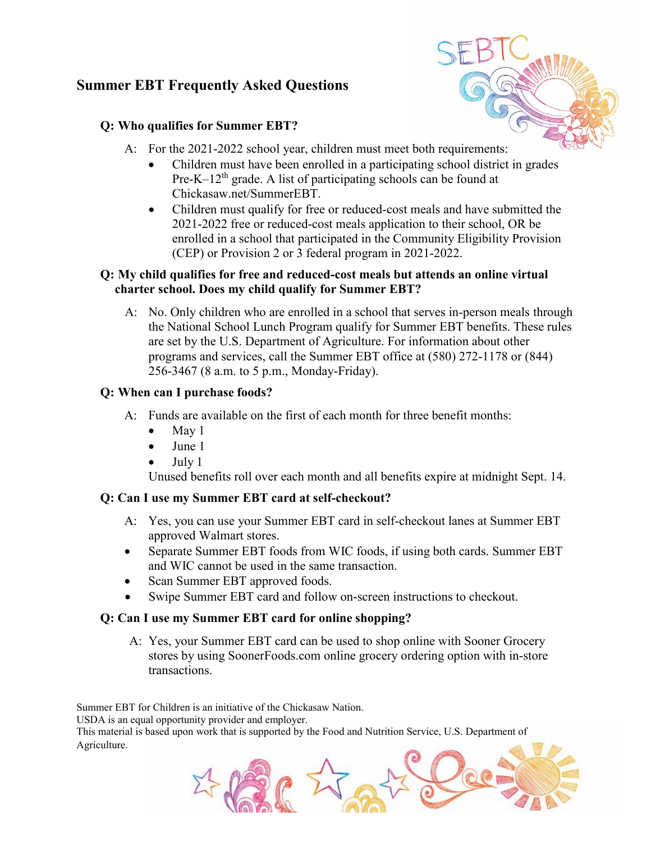# **Summer EBT Frequently Asked Questions**

## **Q: Who qualifies for Summer EBT?**

- A: For the 2021-2022 school year, children must meet both requirements:
	- Children must have been enrolled in a participating school district in grades Pre-K–12<sup>th</sup> grade. A list of participating schools can be found at Chickasaw.net/SummerEBT.
	- Children must qualify for free or reduced-cost meals and have submitted the 2021-2022 free or reduced-cost meals application to their school, OR be enrolled in a school that participated in the Community Eligibility Provision (CEP) or Provision 2 or 3 federal program in 2021-2022.

## **Q: My child qualifies for free and reduced-cost meals but attends an online virtual charter school. Does my child qualify for Summer EBT?**

A: No. Only children who are enrolled in a school that serves in-person meals through the National School Lunch Program qualify for Summer EBT benefits. These rules are set by the U.S. Department of Agriculture. For information about other programs and services, call the Summer EBT office at (580) 272-1178 or (844) 256-3467 (8 a.m. to 5 p.m., Monday-Friday).

## **Q: When can I purchase foods?**

- A: Funds are available on the first of each month for three benefit months:
	- May 1
	- June 1
	- July 1

Unused benefits roll over each month and all benefits expire at midnight Sept. 14.

## **Q: Can I use my Summer EBT card at self-checkout?**

- A: Yes, you can use your Summer EBT card in self-checkout lanes at Summer EBT approved Walmart stores.
- Separate Summer EBT foods from WIC foods, if using both cards. Summer EBT and WIC cannot be used in the same transaction.
- Scan Summer EBT approved foods.
- Swipe Summer EBT card and follow on-screen instructions to checkout.

## **Q: Can I use my Summer EBT card for online shopping?**

A: Yes, your Summer EBT card can be used to shop online with Sooner Grocery stores by using SoonerFoods.com online grocery ordering option with in-store transactions.

Summer EBT for Children is an initiative of the Chickasaw Nation.

USDA is an equal opportunity provider and employer.

This material is based upon work that is supported by the Food and Nutrition Service, U.S. Department of Agriculture.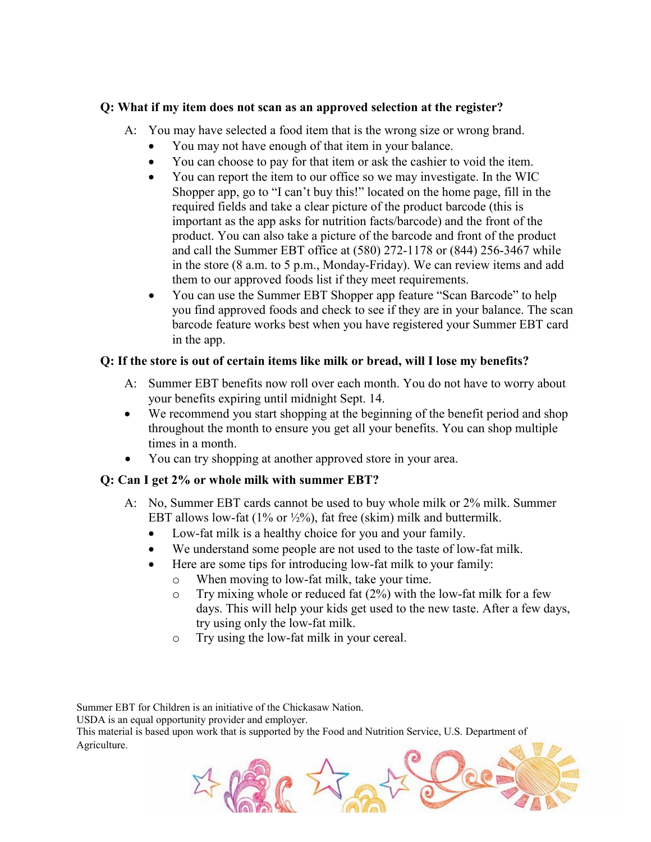#### **Q: What if my item does not scan as an approved selection at the register?**

- A: You may have selected a food item that is the wrong size or wrong brand.
	- You may not have enough of that item in your balance.
	- You can choose to pay for that item or ask the cashier to void the item.
	- You can report the item to our office so we may investigate. In the WIC Shopper app, go to "I can't buy this!" located on the home page, fill in the required fields and take a clear picture of the product barcode (this is important as the app asks for nutrition facts/barcode) and the front of the product. You can also take a picture of the barcode and front of the product and call the Summer EBT office at (580) 272-1178 or (844) 256-3467 while in the store (8 a.m. to 5 p.m., Monday-Friday). We can review items and add them to our approved foods list if they meet requirements.
	- You can use the Summer EBT Shopper app feature "Scan Barcode" to help you find approved foods and check to see if they are in your balance. The scan barcode feature works best when you have registered your Summer EBT card in the app.

### **Q: If the store is out of certain items like milk or bread, will I lose my benefits?**

- A: Summer EBT benefits now roll over each month. You do not have to worry about your benefits expiring until midnight Sept. 14.
- We recommend you start shopping at the beginning of the benefit period and shop throughout the month to ensure you get all your benefits. You can shop multiple times in a month.
- You can try shopping at another approved store in your area.

### **Q: Can I get 2% or whole milk with summer EBT?**

- A: No, Summer EBT cards cannot be used to buy whole milk or 2% milk. Summer EBT allows low-fat  $(1\% \text{ or } \frac{1}{2}\%)$ , fat free (skim) milk and buttermilk.
	- Low-fat milk is a healthy choice for you and your family.
	- We understand some people are not used to the taste of low-fat milk.
	- Here are some tips for introducing low-fat milk to your family:
		- o When moving to low-fat milk, take your time.
		- $\circ$  Try mixing whole or reduced fat (2%) with the low-fat milk for a few days. This will help your kids get used to the new taste. After a few days, try using only the low-fat milk.
		- o Try using the low-fat milk in your cereal.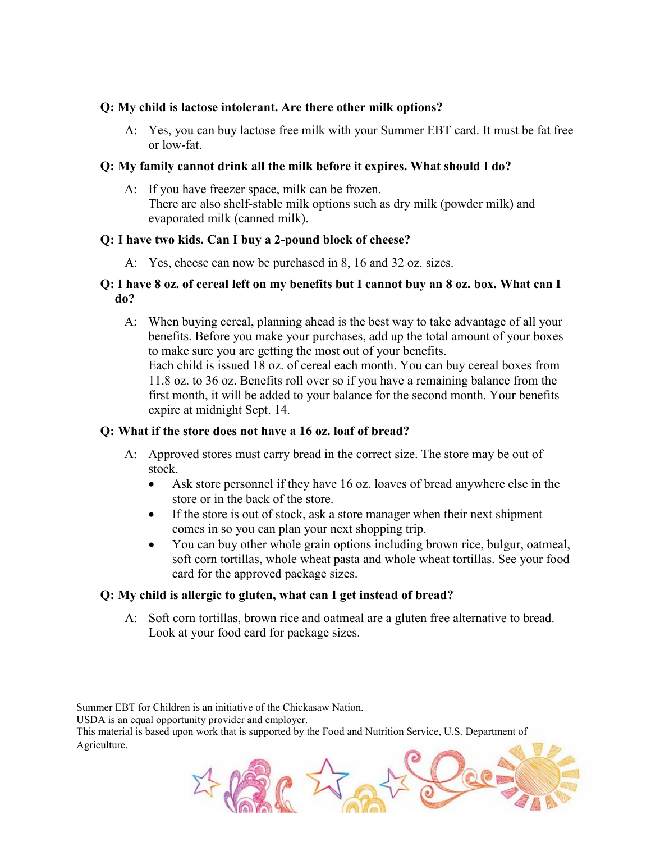#### **Q: My child is lactose intolerant. Are there other milk options?**

A: Yes, you can buy lactose free milk with your Summer EBT card. It must be fat free or low-fat.

#### **Q: My family cannot drink all the milk before it expires. What should I do?**

A: If you have freezer space, milk can be frozen. There are also shelf-stable milk options such as dry milk (powder milk) and evaporated milk (canned milk).

#### **Q: I have two kids. Can I buy a 2-pound block of cheese?**

A: Yes, cheese can now be purchased in 8, 16 and 32 oz. sizes.

#### **Q: I have 8 oz. of cereal left on my benefits but I cannot buy an 8 oz. box. What can I do?**

A: When buying cereal, planning ahead is the best way to take advantage of all your benefits. Before you make your purchases, add up the total amount of your boxes to make sure you are getting the most out of your benefits.

Each child is issued 18 oz. of cereal each month. You can buy cereal boxes from 11.8 oz. to 36 oz. Benefits roll over so if you have a remaining balance from the first month, it will be added to your balance for the second month. Your benefits expire at midnight Sept. 14.

#### **Q: What if the store does not have a 16 oz. loaf of bread?**

- A: Approved stores must carry bread in the correct size. The store may be out of stock.
	- Ask store personnel if they have 16 oz. loaves of bread anywhere else in the store or in the back of the store.
	- If the store is out of stock, ask a store manager when their next shipment comes in so you can plan your next shopping trip.
	- You can buy other whole grain options including brown rice, bulgur, oatmeal, soft corn tortillas, whole wheat pasta and whole wheat tortillas. See your food card for the approved package sizes.

### **Q: My child is allergic to gluten, what can I get instead of bread?**

A: Soft corn tortillas, brown rice and oatmeal are a gluten free alternative to bread. Look at your food card for package sizes.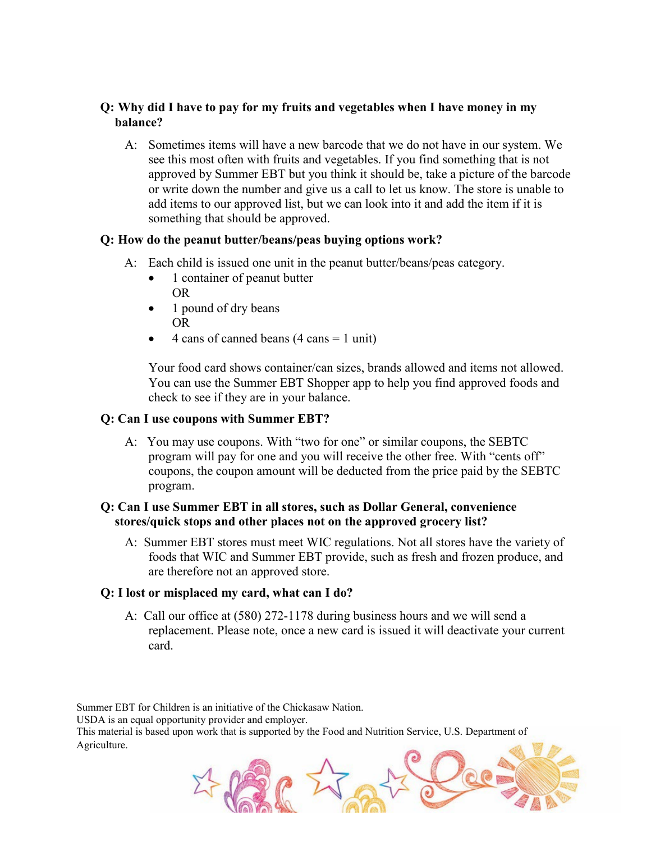### **Q: Why did I have to pay for my fruits and vegetables when I have money in my balance?**

A: Sometimes items will have a new barcode that we do not have in our system. We see this most often with fruits and vegetables. If you find something that is not approved by Summer EBT but you think it should be, take a picture of the barcode or write down the number and give us a call to let us know. The store is unable to add items to our approved list, but we can look into it and add the item if it is something that should be approved.

### **Q: How do the peanut butter/beans/peas buying options work?**

- A: Each child is issued one unit in the peanut butter/beans/peas category.
	- 1 container of peanut butter OR
	- 1 pound of dry beans OR
	- 4 cans of canned beans (4 cans = 1 unit)

Your food card shows container/can sizes, brands allowed and items not allowed. You can use the Summer EBT Shopper app to help you find approved foods and check to see if they are in your balance.

#### **Q: Can I use coupons with Summer EBT?**

A: You may use coupons. With "two for one" or similar coupons, the SEBTC program will pay for one and you will receive the other free. With "cents off" coupons, the coupon amount will be deducted from the price paid by the SEBTC program.

#### **Q: Can I use Summer EBT in all stores, such as Dollar General, convenience stores/quick stops and other places not on the approved grocery list?**

A: Summer EBT stores must meet WIC regulations. Not all stores have the variety of foods that WIC and Summer EBT provide, such as fresh and frozen produce, and are therefore not an approved store.

#### **Q: I lost or misplaced my card, what can I do?**

A: Call our office at (580) 272-1178 during business hours and we will send a replacement. Please note, once a new card is issued it will deactivate your current card.